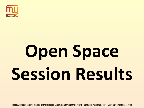

# **Open Space Session Results**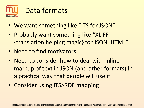

- We want something like "ITS for JSON"
- Probably want something like "XLIFF" {translation helping magic} for JSON, HTML"
- Need to find motivators
- Need to consider how to deal with inline markup of text in JSON (and other formats) in a practical way that people will use it.
- Consider using ITS>RDF mapping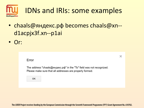

- chaals@яндекс.рф becomes chaals@xn-d1acpjx3f.xn--p1ai
- Or:

 $\times$ 

#### Error

The address "chaals@яндекс.pф" in the "To" field was not recognized. Please make sure that all addresses are properly formed.

OK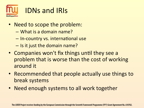

- Need to scope the problem:
	- What is a domain name?
	- $-$  In-country vs. international use
	- $-$  Is it just the domain name?
- Companies won't fix things until they see a problem that is worse than the cost of working around it
- Recommended that people actually use things to break systems
- Need enough systems to all work together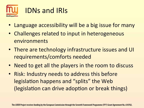

- Language accessibility will be a big issue for many
- Challenges related to input in heterogeneous environments
- There are technology infrastructure issues and UI requirements/comforts needed
- Need to get all the players in the room to discuss
- Risk: Industry needs to address this before legislation happens and "splits" the Web (legislation can drive adoption or break things)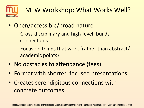

### MLW Workshop: What Works Well?

- Open/accessible/broad nature
	- Cross-disciplinary and high-level: builds connections
	- Focus on things that work (rather than abstract/ academic points)
- No obstacles to attendance (fees)
- Format with shorter, focused presentations
- Creates serendipitous connections with concrete outcomes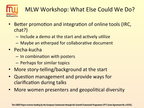

#### MLW Workshop: What Else Could We Do?

- Better promotion and integration of online tools (IRC, chat?)
	- $-$  Include a demo at the start and actively utilize
	- $-$  Maybe an etherpad for collaborative document
- Pecha-kucha
	- $-$  In combination with posters
	- $-$  Perhaps for similar topics
- More story-telling/background at the start
- Question management and provide ways for clarification during talks
- More women presenters and geopolitical diversity